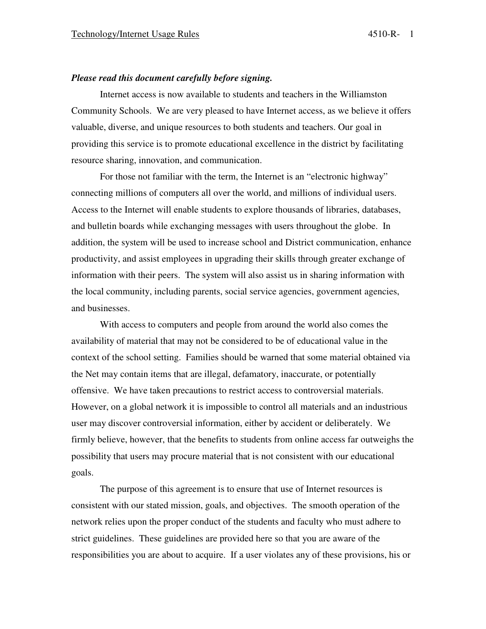#### *Please read this document carefully before signing.*

 Internet access is now available to students and teachers in the Williamston Community Schools. We are very pleased to have Internet access, as we believe it offers valuable, diverse, and unique resources to both students and teachers. Our goal in providing this service is to promote educational excellence in the district by facilitating resource sharing, innovation, and communication.

 For those not familiar with the term, the Internet is an "electronic highway" connecting millions of computers all over the world, and millions of individual users. Access to the Internet will enable students to explore thousands of libraries, databases, and bulletin boards while exchanging messages with users throughout the globe. In addition, the system will be used to increase school and District communication, enhance productivity, and assist employees in upgrading their skills through greater exchange of information with their peers. The system will also assist us in sharing information with the local community, including parents, social service agencies, government agencies, and businesses.

 With access to computers and people from around the world also comes the availability of material that may not be considered to be of educational value in the context of the school setting. Families should be warned that some material obtained via the Net may contain items that are illegal, defamatory, inaccurate, or potentially offensive. We have taken precautions to restrict access to controversial materials. However, on a global network it is impossible to control all materials and an industrious user may discover controversial information, either by accident or deliberately. We firmly believe, however, that the benefits to students from online access far outweighs the possibility that users may procure material that is not consistent with our educational goals.

 The purpose of this agreement is to ensure that use of Internet resources is consistent with our stated mission, goals, and objectives. The smooth operation of the network relies upon the proper conduct of the students and faculty who must adhere to strict guidelines. These guidelines are provided here so that you are aware of the responsibilities you are about to acquire. If a user violates any of these provisions, his or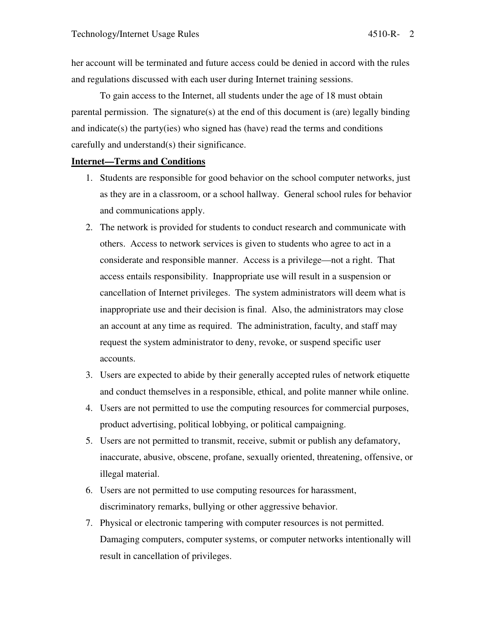her account will be terminated and future access could be denied in accord with the rules and regulations discussed with each user during Internet training sessions.

 To gain access to the Internet, all students under the age of 18 must obtain parental permission. The signature(s) at the end of this document is (are) legally binding and indicate(s) the party(ies) who signed has (have) read the terms and conditions carefully and understand(s) their significance.

## **Internet—Terms and Conditions**

- 1. Students are responsible for good behavior on the school computer networks, just as they are in a classroom, or a school hallway. General school rules for behavior and communications apply.
- 2. The network is provided for students to conduct research and communicate with others. Access to network services is given to students who agree to act in a considerate and responsible manner. Access is a privilege—not a right. That access entails responsibility. Inappropriate use will result in a suspension or cancellation of Internet privileges. The system administrators will deem what is inappropriate use and their decision is final. Also, the administrators may close an account at any time as required. The administration, faculty, and staff may request the system administrator to deny, revoke, or suspend specific user accounts.
- 3. Users are expected to abide by their generally accepted rules of network etiquette and conduct themselves in a responsible, ethical, and polite manner while online.
- 4. Users are not permitted to use the computing resources for commercial purposes, product advertising, political lobbying, or political campaigning.
- 5. Users are not permitted to transmit, receive, submit or publish any defamatory, inaccurate, abusive, obscene, profane, sexually oriented, threatening, offensive, or illegal material.
- 6. Users are not permitted to use computing resources for harassment, discriminatory remarks, bullying or other aggressive behavior.
- 7. Physical or electronic tampering with computer resources is not permitted. Damaging computers, computer systems, or computer networks intentionally will result in cancellation of privileges.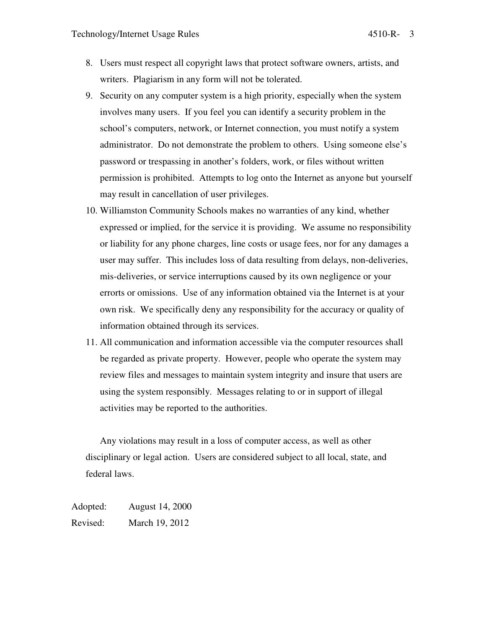- 8. Users must respect all copyright laws that protect software owners, artists, and writers. Plagiarism in any form will not be tolerated.
- 9. Security on any computer system is a high priority, especially when the system involves many users. If you feel you can identify a security problem in the school's computers, network, or Internet connection, you must notify a system administrator. Do not demonstrate the problem to others. Using someone else's password or trespassing in another's folders, work, or files without written permission is prohibited. Attempts to log onto the Internet as anyone but yourself may result in cancellation of user privileges.
- 10. Williamston Community Schools makes no warranties of any kind, whether expressed or implied, for the service it is providing. We assume no responsibility or liability for any phone charges, line costs or usage fees, nor for any damages a user may suffer. This includes loss of data resulting from delays, non-deliveries, mis-deliveries, or service interruptions caused by its own negligence or your errorts or omissions. Use of any information obtained via the Internet is at your own risk. We specifically deny any responsibility for the accuracy or quality of information obtained through its services.
- 11. All communication and information accessible via the computer resources shall be regarded as private property. However, people who operate the system may review files and messages to maintain system integrity and insure that users are using the system responsibly. Messages relating to or in support of illegal activities may be reported to the authorities.

Any violations may result in a loss of computer access, as well as other disciplinary or legal action. Users are considered subject to all local, state, and federal laws.

Adopted: August 14, 2000 Revised: March 19, 2012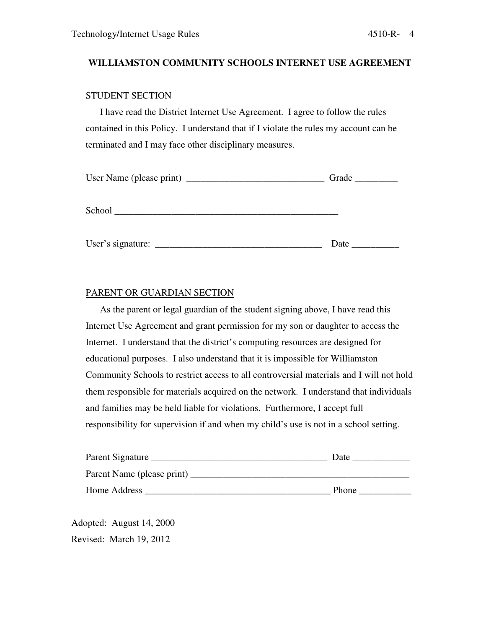# **WILLIAMSTON COMMUNITY SCHOOLS INTERNET USE AGREEMENT**

## STUDENT SECTION

 I have read the District Internet Use Agreement. I agree to follow the rules contained in this Policy. I understand that if I violate the rules my account can be terminated and I may face other disciplinary measures.

|                   | Grade $\_\_$ |
|-------------------|--------------|
| School            |              |
| User's signature: | Date         |

## PARENT OR GUARDIAN SECTION

 As the parent or legal guardian of the student signing above, I have read this Internet Use Agreement and grant permission for my son or daughter to access the Internet. I understand that the district's computing resources are designed for educational purposes. I also understand that it is impossible for Williamston Community Schools to restrict access to all controversial materials and I will not hold them responsible for materials acquired on the network. I understand that individuals and families may be held liable for violations. Furthermore, I accept full responsibility for supervision if and when my child's use is not in a school setting.

| Parent Signature           | Date         |
|----------------------------|--------------|
| Parent Name (please print) |              |
| Home Address               | <b>Phone</b> |

Adopted: August 14, 2000 Revised: March 19, 2012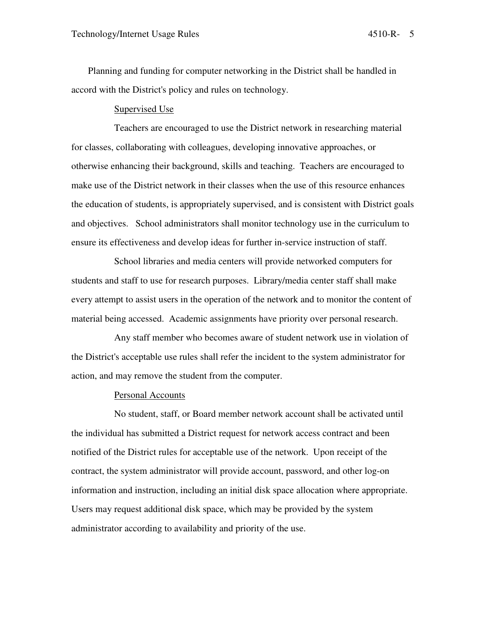Planning and funding for computer networking in the District shall be handled in accord with the District's policy and rules on technology.

#### Supervised Use

Teachers are encouraged to use the District network in researching material for classes, collaborating with colleagues, developing innovative approaches, or otherwise enhancing their background, skills and teaching. Teachers are encouraged to make use of the District network in their classes when the use of this resource enhances the education of students, is appropriately supervised, and is consistent with District goals and objectives. School administrators shall monitor technology use in the curriculum to ensure its effectiveness and develop ideas for further in-service instruction of staff.

School libraries and media centers will provide networked computers for students and staff to use for research purposes. Library/media center staff shall make every attempt to assist users in the operation of the network and to monitor the content of material being accessed. Academic assignments have priority over personal research.

Any staff member who becomes aware of student network use in violation of the District's acceptable use rules shall refer the incident to the system administrator for action, and may remove the student from the computer.

#### Personal Accounts

No student, staff, or Board member network account shall be activated until the individual has submitted a District request for network access contract and been notified of the District rules for acceptable use of the network. Upon receipt of the contract, the system administrator will provide account, password, and other log-on information and instruction, including an initial disk space allocation where appropriate. Users may request additional disk space, which may be provided by the system administrator according to availability and priority of the use.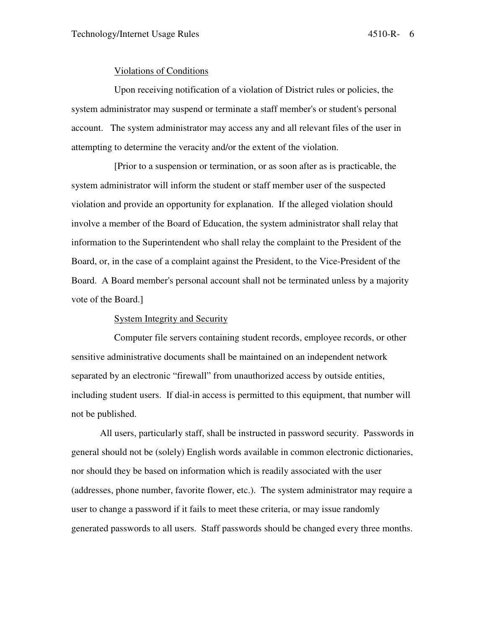#### Violations of Conditions

Upon receiving notification of a violation of District rules or policies, the system administrator may suspend or terminate a staff member's or student's personal account. The system administrator may access any and all relevant files of the user in attempting to determine the veracity and/or the extent of the violation.

[Prior to a suspension or termination, or as soon after as is practicable, the system administrator will inform the student or staff member user of the suspected violation and provide an opportunity for explanation. If the alleged violation should involve a member of the Board of Education, the system administrator shall relay that information to the Superintendent who shall relay the complaint to the President of the Board, or, in the case of a complaint against the President, to the Vice-President of the Board. A Board member's personal account shall not be terminated unless by a majority vote of the Board.]

## System Integrity and Security

Computer file servers containing student records, employee records, or other sensitive administrative documents shall be maintained on an independent network separated by an electronic "firewall" from unauthorized access by outside entities, including student users. If dial-in access is permitted to this equipment, that number will not be published.

 All users, particularly staff, shall be instructed in password security. Passwords in general should not be (solely) English words available in common electronic dictionaries, nor should they be based on information which is readily associated with the user (addresses, phone number, favorite flower, etc.). The system administrator may require a user to change a password if it fails to meet these criteria, or may issue randomly generated passwords to all users. Staff passwords should be changed every three months.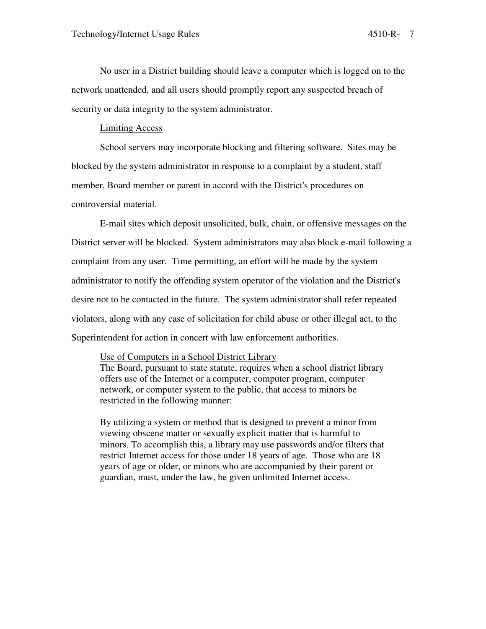No user in a District building should leave a computer which is logged on to the network unattended, and all users should promptly report any suspected breach of security or data integrity to the system administrator.

### Limiting Access

School servers may incorporate blocking and filtering software. Sites may be blocked by the system administrator in response to a complaint by a student, staff member, Board member or parent in accord with the District's procedures on controversial material.

E-mail sites which deposit unsolicited, bulk, chain, or offensive messages on the District server will be blocked. System administrators may also block e-mail following a complaint from any user. Time permitting, an effort will be made by the system administrator to notify the offending system operator of the violation and the District's desire not to be contacted in the future. The system administrator shall refer repeated violators, along with any case of solicitation for child abuse or other illegal act, to the Superintendent for action in concert with law enforcement authorities.

#### Use of Computers in a School District Library

The Board, pursuant to state statute, requires when a school district library offers use of the Internet or a computer, computer program, computer network, or computer system to the public, that access to minors be restricted in the following manner:

By utilizing a system or method that is designed to prevent a minor from viewing obscene matter or sexually explicit matter that is harmful to minors. To accomplish this, a library may use passwords and/or filters that restrict Internet access for those under 18 years of age. Those who are 18 years of age or older, or minors who are accompanied by their parent or guardian, must, under the law, be given unlimited Internet access.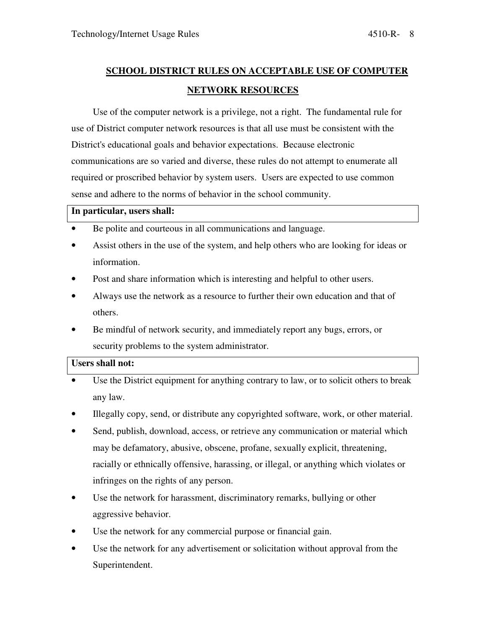# **SCHOOL DISTRICT RULES ON ACCEPTABLE USE OF COMPUTER NETWORK RESOURCES**

Use of the computer network is a privilege, not a right. The fundamental rule for use of District computer network resources is that all use must be consistent with the District's educational goals and behavior expectations. Because electronic communications are so varied and diverse, these rules do not attempt to enumerate all required or proscribed behavior by system users. Users are expected to use common sense and adhere to the norms of behavior in the school community.

## **In particular, users shall:**

- Be polite and courteous in all communications and language.
- Assist others in the use of the system, and help others who are looking for ideas or information.
- Post and share information which is interesting and helpful to other users.
- Always use the network as a resource to further their own education and that of others.
- Be mindful of network security, and immediately report any bugs, errors, or security problems to the system administrator.

# **Users shall not:**

- Use the District equipment for anything contrary to law, or to solicit others to break any law.
- Illegally copy, send, or distribute any copyrighted software, work, or other material.
- Send, publish, download, access, or retrieve any communication or material which may be defamatory, abusive, obscene, profane, sexually explicit, threatening, racially or ethnically offensive, harassing, or illegal, or anything which violates or infringes on the rights of any person.
- Use the network for harassment, discriminatory remarks, bullying or other aggressive behavior.
- Use the network for any commercial purpose or financial gain.
- Use the network for any advertisement or solicitation without approval from the Superintendent.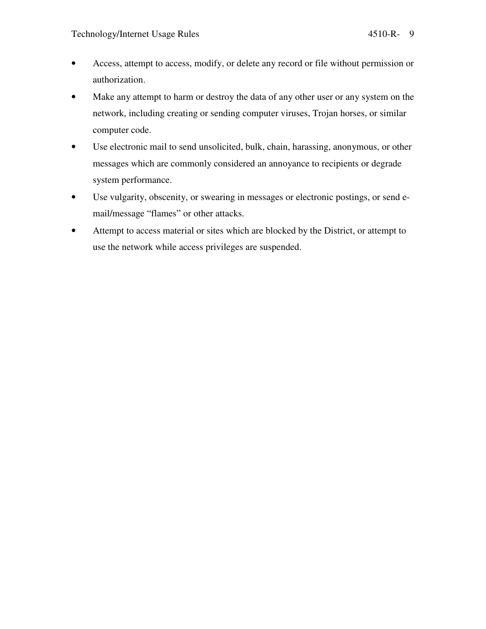- Access, attempt to access, modify, or delete any record or file without permission or authorization.
- Make any attempt to harm or destroy the data of any other user or any system on the network, including creating or sending computer viruses, Trojan horses, or similar computer code.
- Use electronic mail to send unsolicited, bulk, chain, harassing, anonymous, or other messages which are commonly considered an annoyance to recipients or degrade system performance.
- Use vulgarity, obscenity, or swearing in messages or electronic postings, or send email/message "flames" or other attacks.
- Attempt to access material or sites which are blocked by the District, or attempt to use the network while access privileges are suspended.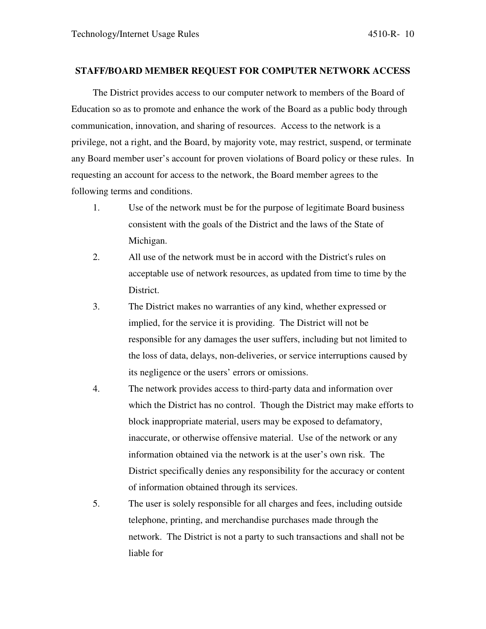## **STAFF/BOARD MEMBER REQUEST FOR COMPUTER NETWORK ACCESS**

The District provides access to our computer network to members of the Board of Education so as to promote and enhance the work of the Board as a public body through communication, innovation, and sharing of resources. Access to the network is a privilege, not a right, and the Board, by majority vote, may restrict, suspend, or terminate any Board member user's account for proven violations of Board policy or these rules. In requesting an account for access to the network, the Board member agrees to the following terms and conditions.

- 1. Use of the network must be for the purpose of legitimate Board business consistent with the goals of the District and the laws of the State of Michigan.
- 2. All use of the network must be in accord with the District's rules on acceptable use of network resources, as updated from time to time by the District.
- 3. The District makes no warranties of any kind, whether expressed or implied, for the service it is providing. The District will not be responsible for any damages the user suffers, including but not limited to the loss of data, delays, non-deliveries, or service interruptions caused by its negligence or the users' errors or omissions.
- 4. The network provides access to third-party data and information over which the District has no control. Though the District may make efforts to block inappropriate material, users may be exposed to defamatory, inaccurate, or otherwise offensive material. Use of the network or any information obtained via the network is at the user's own risk. The District specifically denies any responsibility for the accuracy or content of information obtained through its services.
- 5. The user is solely responsible for all charges and fees, including outside telephone, printing, and merchandise purchases made through the network. The District is not a party to such transactions and shall not be liable for